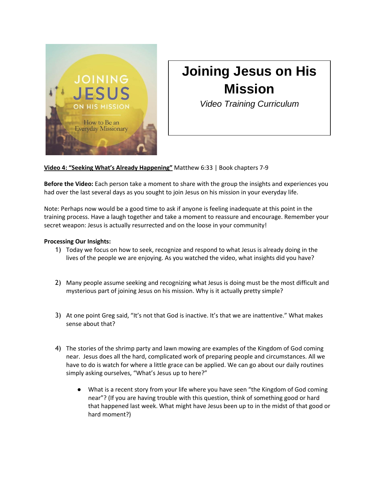

## **Joining Jesus on His Mission**

*Video Training Curriculum*

**Video 4: "Seeking What's Already Happening"** Matthew 6:33 | Book chapters 7-9

**Before the Video:** Each person take a moment to share with the group the insights and experiences you had over the last several days as you sought to join Jesus on his mission in your everyday life.

Note: Perhaps now would be a good time to ask if anyone is feeling inadequate at this point in the training process. Have a laugh together and take a moment to reassure and encourage. Remember your secret weapon: Jesus is actually resurrected and on the loose in your community!

## **Processing Our Insights:**

- 1) Today we focus on how to seek, recognize and respond to what Jesus is already doing in the lives of the people we are enjoying. As you watched the video, what insights did you have?
- 2) Many people assume seeking and recognizing what Jesus is doing must be the most difficult and mysterious part of joining Jesus on his mission. Why is it actually pretty simple?
- 3) At one point Greg said, "It's not that God is inactive. It's that we are inattentive." What makes sense about that?
- 4) The stories of the shrimp party and lawn mowing are examples of the Kingdom of God coming near. Jesus does all the hard, complicated work of preparing people and circumstances. All we have to do is watch for where a little grace can be applied. We can go about our daily routines simply asking ourselves, "What's Jesus up to here?"
	- What is a recent story from your life where you have seen "the Kingdom of God coming near"? (If you are having trouble with this question, think of something good or hard that happened last week. What might have Jesus been up to in the midst of that good or hard moment?)